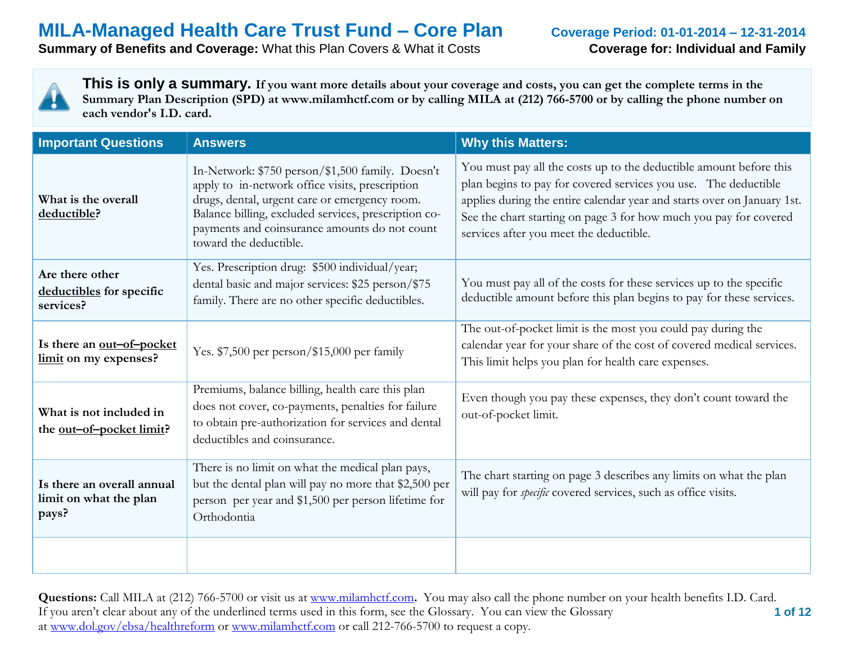**Summary of Benefits and Coverage:** What this Plan Covers & What it Costs **Coverage for: Individual and Family** 



| <b>Important Questions</b>                                    | <b>Answers</b>                                                                                                                                                                                                                                                                          | <b>Why this Matters:</b>                                                                                                                                                                                                                                                                                                         |
|---------------------------------------------------------------|-----------------------------------------------------------------------------------------------------------------------------------------------------------------------------------------------------------------------------------------------------------------------------------------|----------------------------------------------------------------------------------------------------------------------------------------------------------------------------------------------------------------------------------------------------------------------------------------------------------------------------------|
| What is the overall<br>deductible?                            | In-Network: \$750 person/\$1,500 family. Doesn't<br>apply to in-network office visits, prescription<br>drugs, dental, urgent care or emergency room.<br>Balance billing, excluded services, prescription co-<br>payments and coinsurance amounts do not count<br>toward the deductible. | You must pay all the costs up to the deductible amount before this<br>plan begins to pay for covered services you use. The deductible<br>applies during the entire calendar year and starts over on January 1st.<br>See the chart starting on page 3 for how much you pay for covered<br>services after you meet the deductible. |
| Are there other<br>deductibles for specific<br>services?      | Yes. Prescription drug: \$500 individual/year;<br>dental basic and major services: \$25 person/\$75<br>family. There are no other specific deductibles.                                                                                                                                 | You must pay all of the costs for these services up to the specific<br>deductible amount before this plan begins to pay for these services.                                                                                                                                                                                      |
| Is there an out-of-pocket<br>limit on my expenses?            | Yes. \$7,500 per person/\$15,000 per family                                                                                                                                                                                                                                             | The out-of-pocket limit is the most you could pay during the<br>calendar year for your share of the cost of covered medical services.<br>This limit helps you plan for health care expenses.                                                                                                                                     |
| What is not included in<br>the <u>out-of-pocket limit</u> ?   | Premiums, balance billing, health care this plan<br>does not cover, co-payments, penalties for failure<br>to obtain pre-authorization for services and dental<br>deductibles and coinsurance.                                                                                           | Even though you pay these expenses, they don't count toward the<br>out-of-pocket limit.                                                                                                                                                                                                                                          |
| Is there an overall annual<br>limit on what the plan<br>pays? | There is no limit on what the medical plan pays,<br>but the dental plan will pay no more that \$2,500 per<br>person per year and \$1,500 per person lifetime for<br>Orthodontia                                                                                                         | The chart starting on page 3 describes any limits on what the plan<br>will pay for <i>specific</i> covered services, such as office visits.                                                                                                                                                                                      |
|                                                               |                                                                                                                                                                                                                                                                                         |                                                                                                                                                                                                                                                                                                                                  |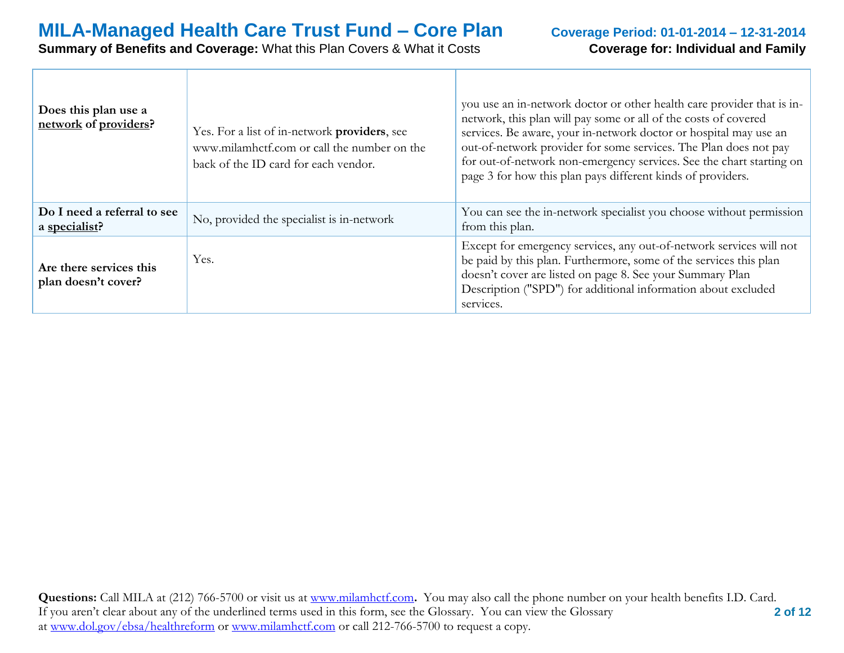# **Coverage for: Individual and Family**

| Does this plan use a<br>network of providers?  | Yes. For a list of in-network providers, see<br>www.milamhctf.com or call the number on the<br>back of the ID card for each vendor. | you use an in-network doctor or other health care provider that is in-<br>network, this plan will pay some or all of the costs of covered<br>services. Be aware, your in-network doctor or hospital may use an<br>out-of-network provider for some services. The Plan does not pay<br>for out-of-network non-emergency services. See the chart starting on<br>page 3 for how this plan pays different kinds of providers. |
|------------------------------------------------|-------------------------------------------------------------------------------------------------------------------------------------|---------------------------------------------------------------------------------------------------------------------------------------------------------------------------------------------------------------------------------------------------------------------------------------------------------------------------------------------------------------------------------------------------------------------------|
| Do I need a referral to see<br>a specialist?   | No, provided the specialist is in-network                                                                                           | You can see the in-network specialist you choose without permission<br>from this plan.                                                                                                                                                                                                                                                                                                                                    |
| Are there services this<br>plan doesn't cover? | Yes.                                                                                                                                | Except for emergency services, any out-of-network services will not<br>be paid by this plan. Furthermore, some of the services this plan<br>doesn't cover are listed on page 8. See your Summary Plan<br>Description ("SPD") for additional information about excluded<br>services.                                                                                                                                       |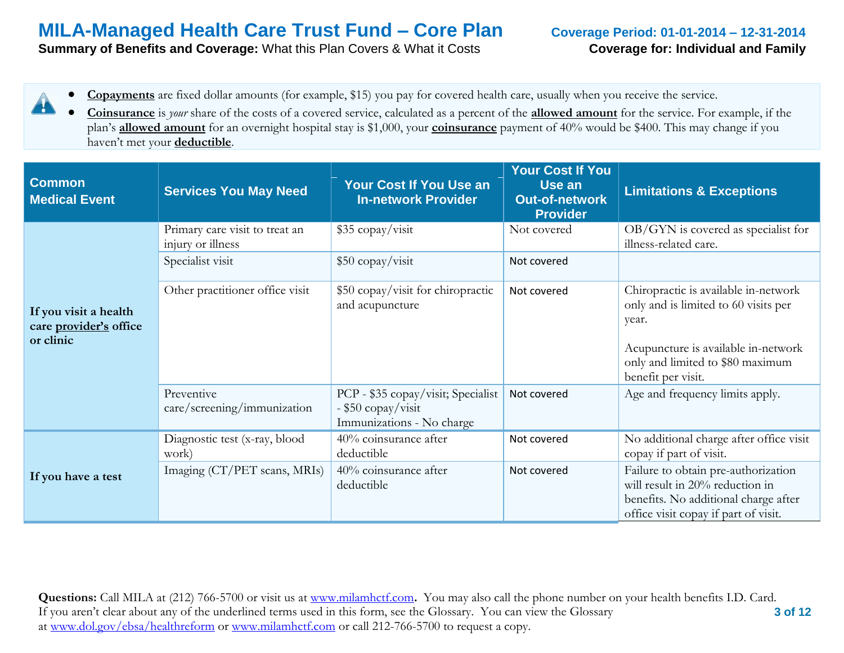**Summary of Benefits and Coverage:** What this Plan Covers & What it Costs **Coverage for: Individual and Family** 

- **Copayments** are fixed dollar amounts (for example, \$15) you pay for covered health care, usually when you receive the service. 4
	- **Coinsurance** is *your* share of the costs of a covered service, calculated as a percent of the **allowed amount** for the service. For example, if the plan's **allowed amount** for an overnight hospital stay is \$1,000, your **coinsurance** payment of 40% would be \$400. This may change if you haven't met your **deductible**.

| <b>Common</b><br><b>Medical Event</b>                        | <b>Services You May Need</b>                        | Your Cost If You Use an<br><b>In-network Provider</b>                                 | <b>Your Cost If You</b><br>Use an<br><b>Out-of-network</b><br><b>Provider</b> | <b>Limitations &amp; Exceptions</b>                                                                                                                                                    |
|--------------------------------------------------------------|-----------------------------------------------------|---------------------------------------------------------------------------------------|-------------------------------------------------------------------------------|----------------------------------------------------------------------------------------------------------------------------------------------------------------------------------------|
|                                                              | Primary care visit to treat an<br>injury or illness | \$35 copay/visit                                                                      | Not covered                                                                   | OB/GYN is covered as specialist for<br>illness-related care.                                                                                                                           |
|                                                              | Specialist visit                                    | \$50 copay/visit                                                                      | Not covered                                                                   |                                                                                                                                                                                        |
| If you visit a health<br>care provider's office<br>or clinic | Other practitioner office visit                     | \$50 copay/visit for chiropractic<br>and acupuncture                                  | Not covered                                                                   | Chiropractic is available in-network<br>only and is limited to 60 visits per<br>year.<br>Acupuncture is available in-network<br>only and limited to \$80 maximum<br>benefit per visit. |
|                                                              | Preventive<br>care/screening/immunization           | PCP - \$35 copay/visit; Specialist<br>- \$50 copay/visit<br>Immunizations - No charge | Not covered                                                                   | Age and frequency limits apply.                                                                                                                                                        |
|                                                              | Diagnostic test (x-ray, blood<br>work)              | 40% coinsurance after<br>deductible                                                   | Not covered                                                                   | No additional charge after office visit<br>copay if part of visit.                                                                                                                     |
| If you have a test                                           | Imaging (CT/PET scans, MRIs)                        | 40% coinsurance after<br>deductible                                                   | Not covered                                                                   | Failure to obtain pre-authorization<br>will result in 20% reduction in<br>benefits. No additional charge after<br>office visit copay if part of visit.                                 |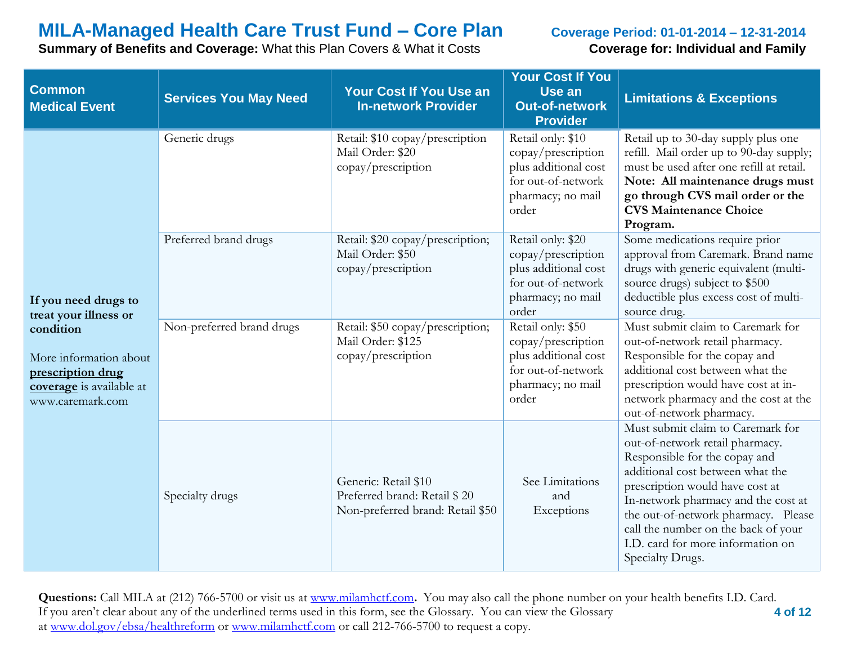**Summary of Benefits and Coverage:** What this Plan Covers & What it Costs **Coverage for: Individual and Family** 

| <b>Common</b><br><b>Medical Event</b>                                                                                                                     | <b>Services You May Need</b> | <b>Your Cost If You Use an</b><br><b>In-network Provider</b>                             | <b>Your Cost If You</b><br>Use an<br><b>Out-of-network</b><br><b>Provider</b>                                       | <b>Limitations &amp; Exceptions</b>                                                                                                                                                                                                                                                                                                                        |
|-----------------------------------------------------------------------------------------------------------------------------------------------------------|------------------------------|------------------------------------------------------------------------------------------|---------------------------------------------------------------------------------------------------------------------|------------------------------------------------------------------------------------------------------------------------------------------------------------------------------------------------------------------------------------------------------------------------------------------------------------------------------------------------------------|
| If you need drugs to<br>treat your illness or<br>condition<br>More information about<br>prescription drug<br>coverage is available at<br>www.caremark.com | Generic drugs                | Retail: \$10 copay/prescription<br>Mail Order: \$20<br>copay/prescription                | Retail only: \$10<br>copay/prescription<br>plus additional cost<br>for out-of-network<br>pharmacy; no mail<br>order | Retail up to 30-day supply plus one<br>refill. Mail order up to 90-day supply;<br>must be used after one refill at retail.<br>Note: All maintenance drugs must<br>go through CVS mail order or the<br><b>CVS Maintenance Choice</b><br>Program.                                                                                                            |
|                                                                                                                                                           | Preferred brand drugs        | Retail: \$20 copay/prescription;<br>Mail Order: \$50<br>copay/prescription               | Retail only: \$20<br>copay/prescription<br>plus additional cost<br>for out-of-network<br>pharmacy; no mail<br>order | Some medications require prior<br>approval from Caremark. Brand name<br>drugs with generic equivalent (multi-<br>source drugs) subject to \$500<br>deductible plus excess cost of multi-<br>source drug.                                                                                                                                                   |
|                                                                                                                                                           | Non-preferred brand drugs    | Retail: \$50 copay/prescription;<br>Mail Order: \$125<br>copay/prescription              | Retail only: \$50<br>copay/prescription<br>plus additional cost<br>for out-of-network<br>pharmacy; no mail<br>order | Must submit claim to Caremark for<br>out-of-network retail pharmacy.<br>Responsible for the copay and<br>additional cost between what the<br>prescription would have cost at in-<br>network pharmacy and the cost at the<br>out-of-network pharmacy.                                                                                                       |
|                                                                                                                                                           | Specialty drugs              | Generic: Retail \$10<br>Preferred brand: Retail \$20<br>Non-preferred brand: Retail \$50 | See Limitations<br>and<br>Exceptions                                                                                | Must submit claim to Caremark for<br>out-of-network retail pharmacy.<br>Responsible for the copay and<br>additional cost between what the<br>prescription would have cost at<br>In-network pharmacy and the cost at<br>the out-of-network pharmacy. Please<br>call the number on the back of your<br>I.D. card for more information on<br>Specialty Drugs. |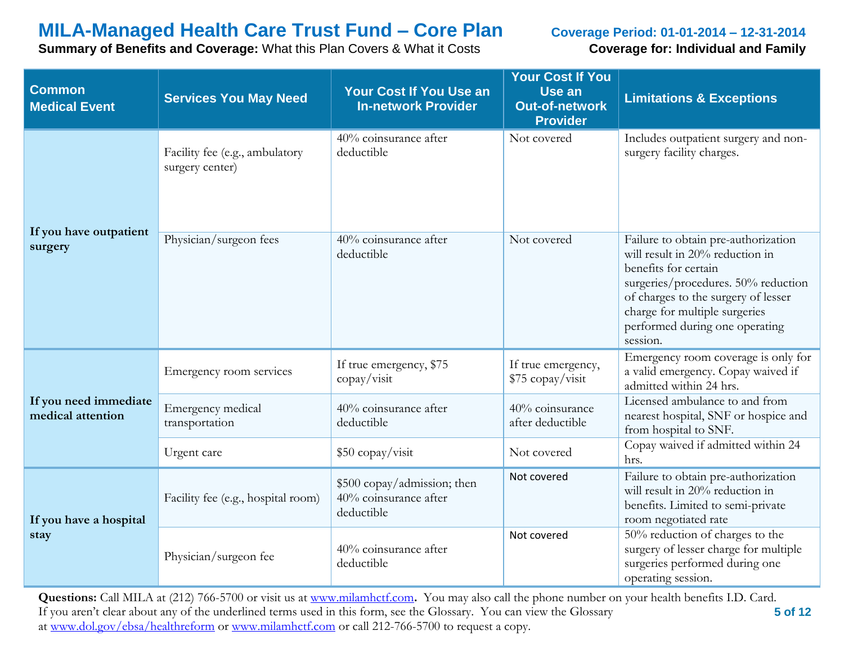**Summary of Benefits and Coverage:** What this Plan Covers & What it Costs **Coverage for: Individual and Family** 

| <b>Common</b><br><b>Medical Event</b>      | <b>Services You May Need</b>                      | Your Cost If You Use an<br><b>In-network Provider</b>              | <b>Your Cost If You</b><br>Use an<br><b>Out-of-network</b><br><b>Provider</b> | <b>Limitations &amp; Exceptions</b>                                                                                                                                                                                                                         |
|--------------------------------------------|---------------------------------------------------|--------------------------------------------------------------------|-------------------------------------------------------------------------------|-------------------------------------------------------------------------------------------------------------------------------------------------------------------------------------------------------------------------------------------------------------|
|                                            | Facility fee (e.g., ambulatory<br>surgery center) | 40% coinsurance after<br>deductible                                | Not covered                                                                   | Includes outpatient surgery and non-<br>surgery facility charges.                                                                                                                                                                                           |
| If you have outpatient<br>surgery          | Physician/surgeon fees                            | $\sqrt{40\%}$ coinsurance after<br>deductible                      | Not covered                                                                   | Failure to obtain pre-authorization<br>will result in 20% reduction in<br>benefits for certain<br>surgeries/procedures. 50% reduction<br>of charges to the surgery of lesser<br>charge for multiple surgeries<br>performed during one operating<br>session. |
| If you need immediate<br>medical attention | Emergency room services                           | If true emergency, \$75<br>$\text{copy}/\text{visit}$              | If true emergency,<br>\$75 copay/visit                                        | Emergency room coverage is only for<br>a valid emergency. Copay waived if<br>admitted within 24 hrs.                                                                                                                                                        |
|                                            | Emergency medical<br>transportation               | 40% coinsurance after<br>deductible                                | 40% coinsurance<br>after deductible                                           | Licensed ambulance to and from<br>nearest hospital, SNF or hospice and<br>from hospital to SNF.                                                                                                                                                             |
|                                            | Urgent care                                       | \$50 copay/visit                                                   | Not covered                                                                   | Copay waived if admitted within 24<br>hrs.                                                                                                                                                                                                                  |
| If you have a hospital<br>stay             | Facility fee (e.g., hospital room)                | \$500 copay/admission; then<br>40% coinsurance after<br>deductible | Not covered                                                                   | Failure to obtain pre-authorization<br>will result in 20% reduction in<br>benefits. Limited to semi-private<br>room negotiated rate                                                                                                                         |
|                                            | Physician/surgeon fee                             | 40% coinsurance after<br>deductible                                | Not covered                                                                   | 50% reduction of charges to the<br>surgery of lesser charge for multiple<br>surgeries performed during one<br>operating session.                                                                                                                            |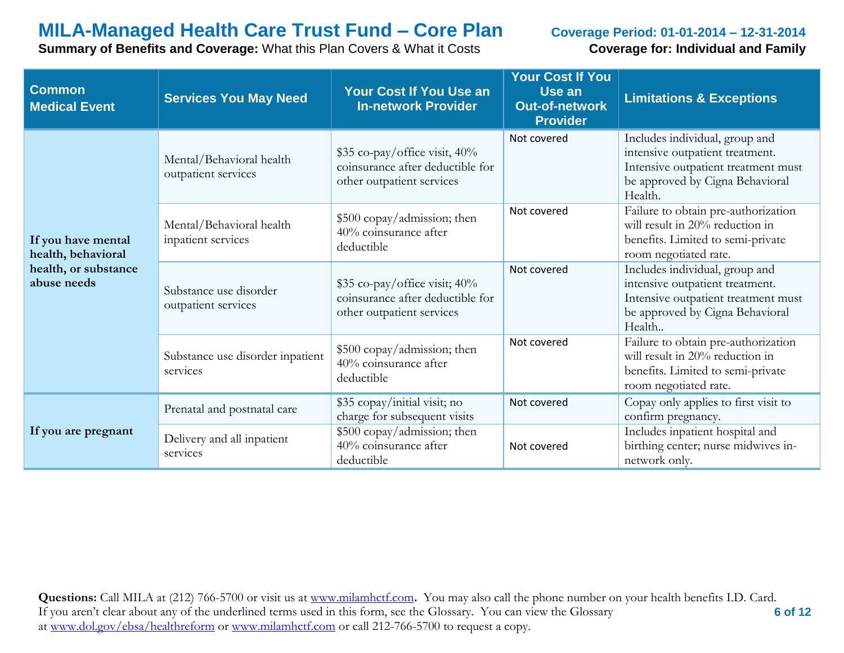**Summary of Benefits and Coverage:** What this Plan Covers & What it Costs **Coverage for: Individual and Family** 

| <b>Common</b><br><b>Medical Event</b>                                           | <b>Services You May Need</b>                    | Your Cost If You Use an<br><b>In-network Provider</b>                                          | <b>Your Cost If You</b><br>Use an<br><b>Out-of-network</b><br><b>Provider</b> | <b>Limitations &amp; Exceptions</b>                                                                                                                    |
|---------------------------------------------------------------------------------|-------------------------------------------------|------------------------------------------------------------------------------------------------|-------------------------------------------------------------------------------|--------------------------------------------------------------------------------------------------------------------------------------------------------|
| If you have mental<br>health, behavioral<br>health, or substance<br>abuse needs | Mental/Behavioral health<br>outpatient services | \$35 co-pay/office visit, 40%<br>coinsurance after deductible for<br>other outpatient services | Not covered                                                                   | Includes individual, group and<br>intensive outpatient treatment.<br>Intensive outpatient treatment must<br>be approved by Cigna Behavioral<br>Health. |
|                                                                                 | Mental/Behavioral health<br>inpatient services  | \$500 copay/admission; then<br>40% coinsurance after<br>deductible                             | Not covered                                                                   | Failure to obtain pre-authorization<br>will result in 20% reduction in<br>benefits. Limited to semi-private<br>room negotiated rate.                   |
|                                                                                 | Substance use disorder<br>outpatient services   | \$35 co-pay/office visit; 40%<br>coinsurance after deductible for<br>other outpatient services | Not covered                                                                   | Includes individual, group and<br>intensive outpatient treatment.<br>Intensive outpatient treatment must<br>be approved by Cigna Behavioral<br>Health  |
|                                                                                 | Substance use disorder inpatient<br>services    | \$500 copay/admission; then<br>40% coinsurance after<br>deductible                             | Not covered                                                                   | Failure to obtain pre-authorization<br>will result in 20% reduction in<br>benefits. Limited to semi-private<br>room negotiated rate.                   |
| If you are pregnant                                                             | Prenatal and postnatal care                     | \$35 copay/initial visit; no<br>charge for subsequent visits                                   | Not covered                                                                   | Copay only applies to first visit to<br>confirm pregnancy.                                                                                             |
|                                                                                 | Delivery and all inpatient<br>services          | \$500 copay/admission; then<br>40% coinsurance after<br>deductible                             | Not covered                                                                   | Includes inpatient hospital and<br>birthing center; nurse midwives in-<br>network only.                                                                |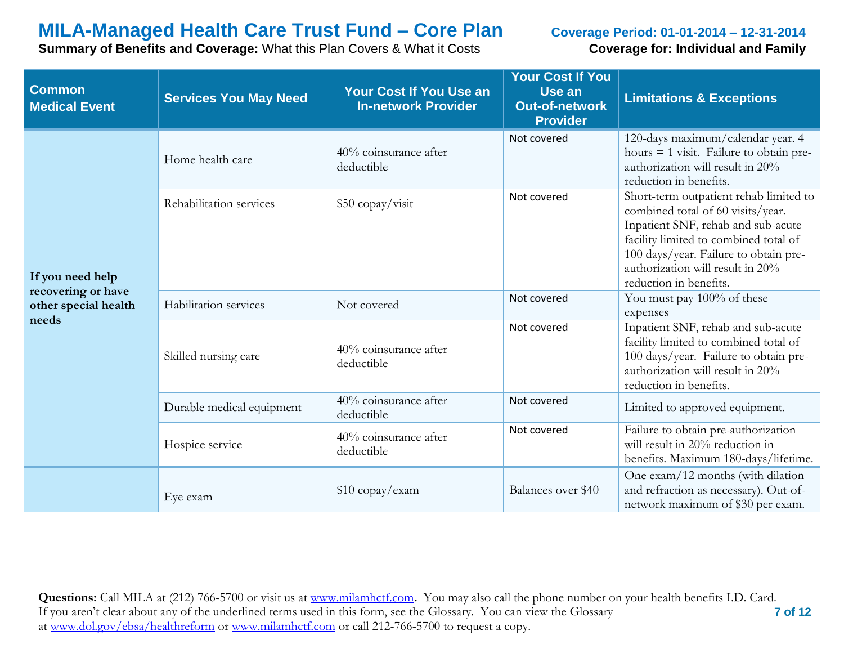**Summary of Benefits and Coverage:** What this Plan Covers & What it Costs **Coverage for: Individual and Family** 

| <b>Common</b><br><b>Medical Event</b>      | <b>Services You May Need</b> | Your Cost If You Use an<br><b>In-network Provider</b> | <b>Your Cost If You</b><br>Use an<br><b>Out-of-network</b><br><b>Provider</b> | <b>Limitations &amp; Exceptions</b>                                                                                                                                                                                                                               |
|--------------------------------------------|------------------------------|-------------------------------------------------------|-------------------------------------------------------------------------------|-------------------------------------------------------------------------------------------------------------------------------------------------------------------------------------------------------------------------------------------------------------------|
| If you need help                           | Home health care             | 40% coinsurance after<br>deductible                   | Not covered                                                                   | 120-days maximum/calendar year. 4<br>hours $= 1$ visit. Failure to obtain pre-<br>authorization will result in 20%<br>reduction in benefits.                                                                                                                      |
|                                            | Rehabilitation services      | \$50 copay/visit                                      | Not covered                                                                   | Short-term outpatient rehab limited to<br>combined total of 60 visits/year.<br>Inpatient SNF, rehab and sub-acute<br>facility limited to combined total of<br>100 days/year. Failure to obtain pre-<br>authorization will result in 20%<br>reduction in benefits. |
| recovering or have<br>other special health | Habilitation services        | Not covered                                           | Not covered                                                                   | You must pay 100% of these<br>expenses                                                                                                                                                                                                                            |
| needs                                      | Skilled nursing care         | 40% coinsurance after<br>deductible                   | Not covered                                                                   | Inpatient SNF, rehab and sub-acute<br>facility limited to combined total of<br>100 days/year. Failure to obtain pre-<br>authorization will result in 20%<br>reduction in benefits.                                                                                |
|                                            | Durable medical equipment    | 40% coinsurance after<br>deductible                   | Not covered                                                                   | Limited to approved equipment.                                                                                                                                                                                                                                    |
|                                            | Hospice service              | 40% coinsurance after<br>deductible                   | Not covered                                                                   | Failure to obtain pre-authorization<br>will result in 20% reduction in<br>benefits. Maximum 180-days/lifetime.                                                                                                                                                    |
|                                            | Eye exam                     | $$10$ copay/exam                                      | Balances over \$40                                                            | One exam/12 months (with dilation<br>and refraction as necessary). Out-of-<br>network maximum of \$30 per exam.                                                                                                                                                   |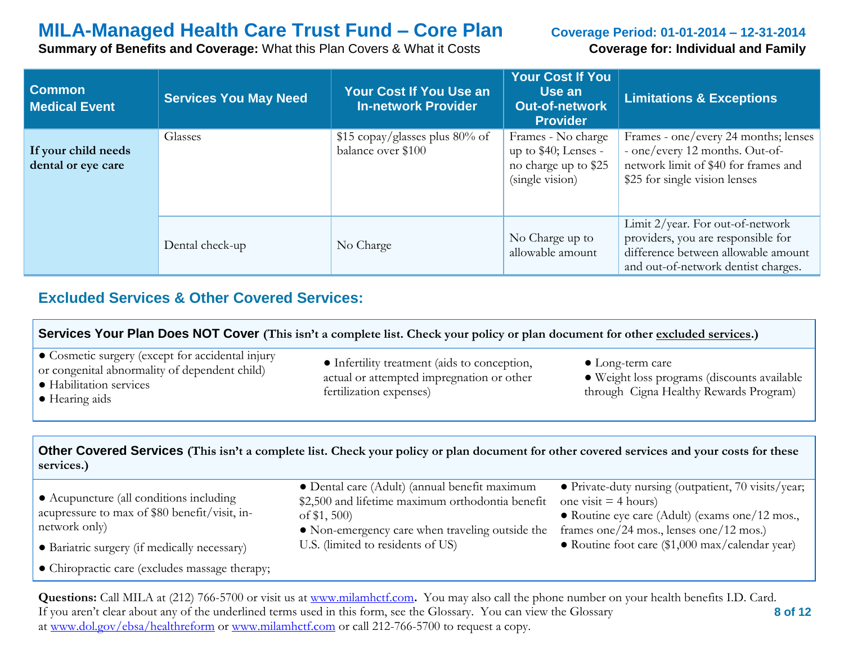**Summary of Benefits and Coverage:** What this Plan Covers & What it Costs **Coverage for: Individual and Family** 

| <b>Common</b><br><b>Medical Event</b>     | <b>Services You May Need</b> | <b>Your Cost If You Use an</b><br><b>In-network Provider</b> | <b>Your Cost If You</b><br>Use an<br><b>Out-of-network</b><br><b>Provider</b>         | <b>Limitations &amp; Exceptions</b>                                                                                                                  |
|-------------------------------------------|------------------------------|--------------------------------------------------------------|---------------------------------------------------------------------------------------|------------------------------------------------------------------------------------------------------------------------------------------------------|
| If your child needs<br>dental or eye care | Glasses                      | \$15 copay/glasses plus 80% of<br>balance over \$100         | Frames - No charge<br>up to \$40; Lenses -<br>no charge up to \$25<br>(single vision) | Frames - one/every 24 months; lenses<br>- one/every 12 months. Out-of-<br>network limit of \$40 for frames and<br>\$25 for single vision lenses      |
|                                           | Dental check-up              | No Charge                                                    | No Charge up to<br>allowable amount                                                   | Limit 2/year. For out-of-network<br>providers, you are responsible for<br>difference between allowable amount<br>and out-of-network dentist charges. |

## **Excluded Services & Other Covered Services:**

| Services Your Plan Does NOT Cover (This isn't a complete list. Check your policy or plan document for other excluded services.)                                                                                                                                                                                                                                                             |                                                                                                                                                                     |                                                                                                                                                                            |  |  |  |
|---------------------------------------------------------------------------------------------------------------------------------------------------------------------------------------------------------------------------------------------------------------------------------------------------------------------------------------------------------------------------------------------|---------------------------------------------------------------------------------------------------------------------------------------------------------------------|----------------------------------------------------------------------------------------------------------------------------------------------------------------------------|--|--|--|
| • Cosmetic surgery (except for accidental injury<br>• Infertility treatment (aids to conception,<br>$\bullet$ Long-term care<br>or congenital abnormality of dependent child)<br>actual or attempted impregnation or other<br>· Weight loss programs (discounts available<br>· Habilitation services<br>through Cigna Healthy Rewards Program)<br>fertilization expenses)<br>• Hearing aids |                                                                                                                                                                     |                                                                                                                                                                            |  |  |  |
| Other Covered Services (This isn't a complete list. Check your policy or plan document for other covered services and your costs for these<br>services.)                                                                                                                                                                                                                                    |                                                                                                                                                                     |                                                                                                                                                                            |  |  |  |
| • Acupuncture (all conditions including<br>acupressure to max of \$80 benefit/visit, in-<br>network only)                                                                                                                                                                                                                                                                                   | • Dental care (Adult) (annual benefit maximum<br>\$2,500 and lifetime maximum orthodontia benefit<br>of $$1,500$<br>• Non-emergency care when traveling outside the | • Private-duty nursing (outpatient, 70 visits/year;<br>one visit $=$ 4 hours)<br>• Routine eye care (Adult) (exams one/12 mos.,<br>frames one/24 mos., lenses one/12 mos.) |  |  |  |

● Bariatric surgery (if medically necessary)

● Chiropractic care (excludes massage therapy;

● Routine foot care (\$1,000 max/calendar year)

 **8 of 12 Questions:** Call MILA at (212) 766-5700 or visit us at [www.milamhctf.com](http://www.milamhctf.com/)**.** You may also call the phone number on your health benefits I.D. Card. If you aren't clear about any of the underlined terms used in this form, see the Glossary. You can view the Glossary at [www.dol.gov/ebsa/healthreform](http://www.dol.gov/ebsa/healthreform) or [www.milamhctf.com](http://www.milamhctf.com/) or call 212-766-5700 to request a copy.

U.S. (limited to residents of US)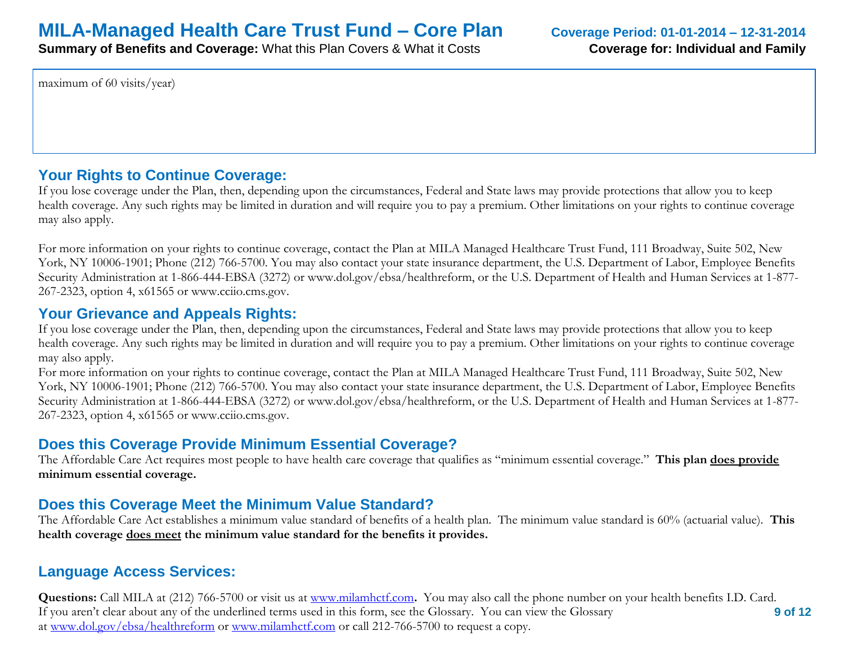**Summary of Benefits and Coverage:** What this Plan Covers & What it Costs **Coverage for: Individual and Family** 

maximum of 60 visits/year)

## **Your Rights to Continue Coverage:**

If you lose coverage under the Plan, then, depending upon the circumstances, Federal and State laws may provide protections that allow you to keep health coverage. Any such rights may be limited in duration and will require you to pay a premium. Other limitations on your rights to continue coverage may also apply.

For more information on your rights to continue coverage, contact the Plan at MILA Managed Healthcare Trust Fund, 111 Broadway, Suite 502, New York, NY 10006-1901; Phone (212) 766-5700. You may also contact your state insurance department, the U.S. Department of Labor, Employee Benefits Security Administration at 1-866-444-EBSA (3272) or www.dol.gov/ebsa/healthreform, or the U.S. Department of Health and Human Services at 1-877- 267-2323, option 4, x61565 or www.cciio.cms.gov.

## **Your Grievance and Appeals Rights:**

If you lose coverage under the Plan, then, depending upon the circumstances, Federal and State laws may provide protections that allow you to keep health coverage. Any such rights may be limited in duration and will require you to pay a premium. Other limitations on your rights to continue coverage may also apply.

For more information on your rights to continue coverage, contact the Plan at MILA Managed Healthcare Trust Fund, 111 Broadway, Suite 502, New York, NY 10006-1901; Phone (212) 766-5700. You may also contact your state insurance department, the U.S. Department of Labor, Employee Benefits Security Administration at 1-866-444-EBSA (3272) or www.dol.gov/ebsa/healthreform, or the U.S. Department of Health and Human Services at 1-877- 267-2323, option 4, x61565 or www.cciio.cms.gov.

## **Does this Coverage Provide Minimum Essential Coverage?**

The Affordable Care Act requires most people to have health care coverage that qualifies as "minimum essential coverage." **This plan does provide minimum essential coverage.** 

## **Does this Coverage Meet the Minimum Value Standard?**

The Affordable Care Act establishes a minimum value standard of benefits of a health plan. The minimum value standard is 60% (actuarial value). **This health coverage does meet the minimum value standard for the benefits it provides.** 

## **Language Access Services:**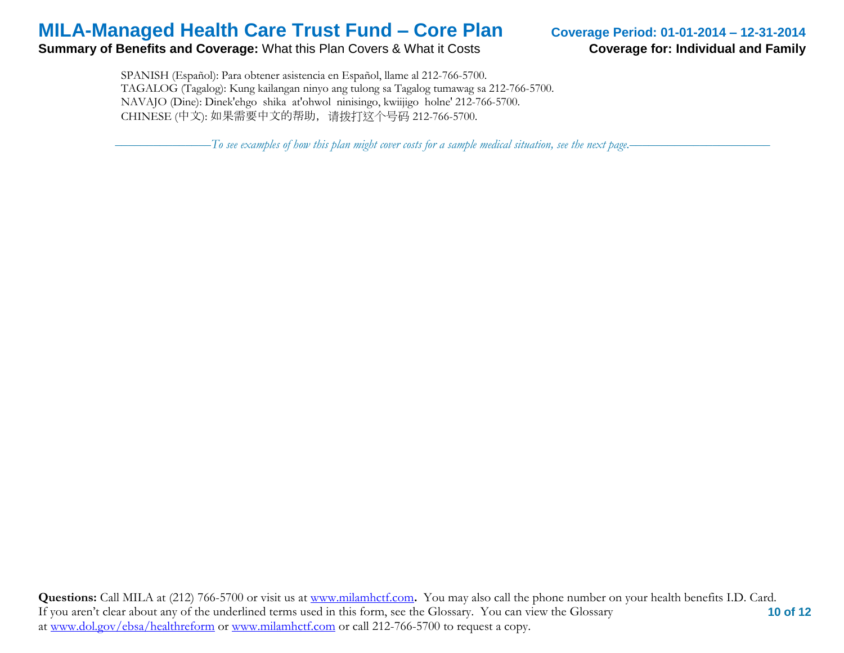### **Summary of Benefits and Coverage:** What this Plan Covers & What it Costs **Coverage for: Individual and Family**

 SPANISH (Español): Para obtener asistencia en Español, llame al 212-766-5700. TAGALOG (Tagalog): Kung kailangan ninyo ang tulong sa Tagalog tumawag sa 212-766-5700. NAVAJO (Dine): Dinek'ehgo shika at'ohwol ninisingo, kwiijigo holne' 212-766-5700. CHINESE (中文): 如果需要中文的帮助,请拨打这个号码 212-766-5700.

–––––––––––––––*To see examples of how this plan might cover costs for a sample medical situation, see the next page.–––––––––––*–––––––––––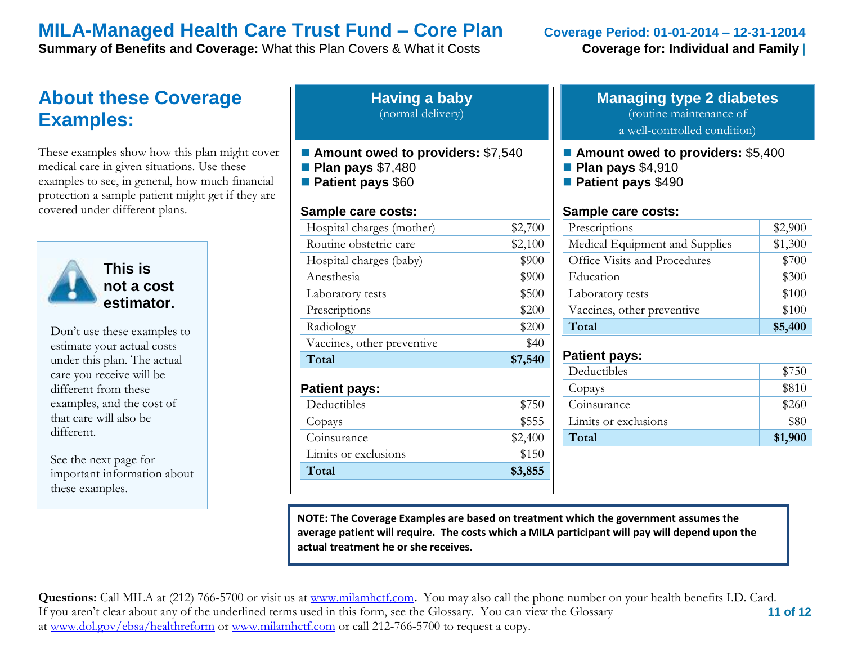**Summary of Benefits and Coverage:** What this Plan Covers & What it Costs **Coverage for: Individual and Family** 

# **About these Coverage Examples:**

These examples show how this plan might cover medical care in given situations. Use these examples to see, in general, how much financial protection a sample patient might get if they are covered under different plans.



**This is not a cost estimator.** 

Don't use these examples to estimate your actual costs under this plan. The actual care you receive will be different from these examples, and the cost of that care will also be different.

See the next page for important information about these examples.

| <b>Having a baby</b> |  |
|----------------------|--|
| (normal delivery)    |  |

- Amount owed to providers: \$7,540
- **Plan pays** \$7,480
- **Patient pays** \$60

### **Sample care costs:**

| Total                      | \$7,540 |
|----------------------------|---------|
| Vaccines, other preventive | \$40    |
| Radiology                  | \$200   |
| Prescriptions              | \$200   |
| Laboratory tests           | \$500   |
| Anesthesia                 | \$900   |
| Hospital charges (baby)    | \$900   |
| Routine obstetric care     | \$2,100 |
| Hospital charges (mother)  | \$2,700 |

### **Patient pays:**

| Limits or exclusions | \$150   |
|----------------------|---------|
| Coinsurance          | \$2,400 |
| Copays               | \$555   |
| Deductibles          | \$750   |

## **Managing type 2 diabetes** (routine maintenance of

a well-controlled condition)

- **Amount owed to providers: \$5,400**
- **Plan pays** \$4,910
- **Patient pays** \$490

### **Sample care costs:**

| Prescriptions                  | \$2,900 |
|--------------------------------|---------|
| Medical Equipment and Supplies | \$1,300 |
| Office Visits and Procedures   | \$700   |
| Education                      | \$300   |
| Laboratory tests               | \$100   |
| Vaccines, other preventive     | \$100   |
| Total                          | \$5,400 |

### **Patient pays:**

| Deductibles          | \$750   |
|----------------------|---------|
|                      |         |
| Copays               | \$810   |
| Coinsurance          | \$260   |
| Limits or exclusions | \$80    |
| Total                | \$1,900 |
|                      |         |

**NOTE: The Coverage Examples are based on treatment which the government assumes the average patient will require. The costs which a MILA participant will pay will depend upon the actual treatment he or she receives.**